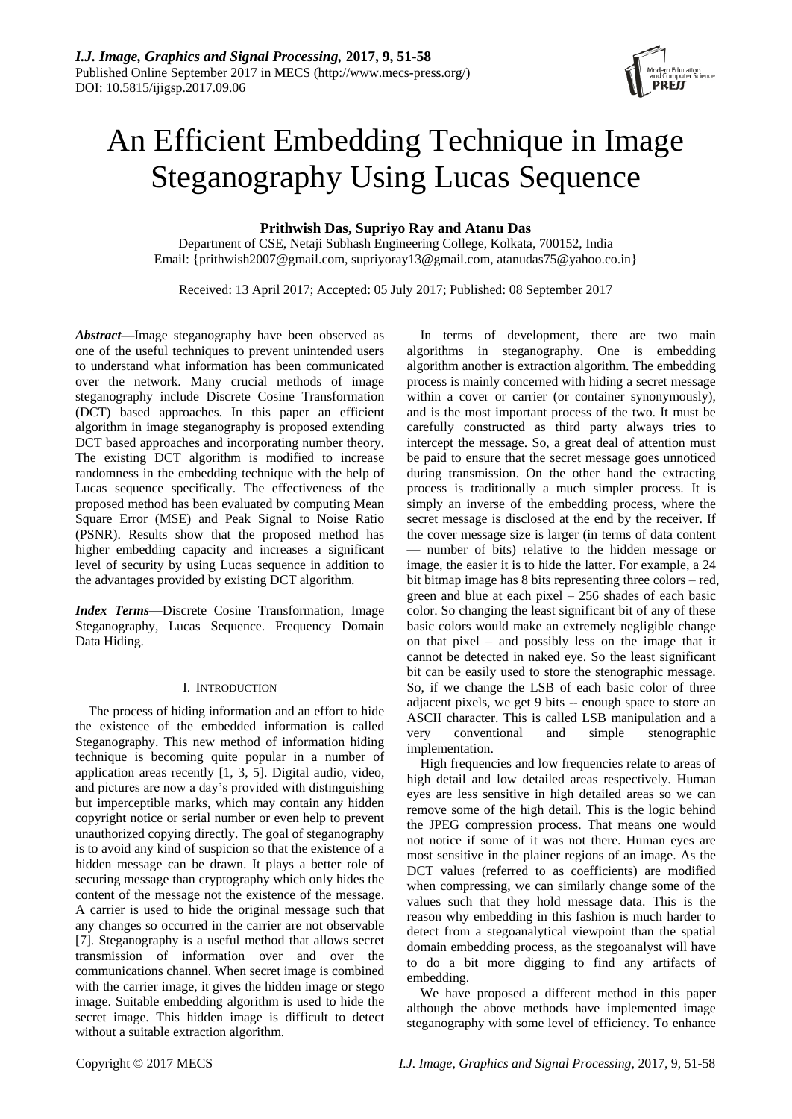# An Efficient Embedding Technique in Image Steganography Using Lucas Sequence

# **Prithwish Das, Supriyo Ray and Atanu Das**

Department of CSE, Netaji Subhash Engineering College, Kolkata, 700152, India Email: {prithwish2007@gmail.com, supriyoray13@gmail.com, atanudas75@yahoo.co.in}

Received: 13 April 2017; Accepted: 05 July 2017; Published: 08 September 2017

*Abstract***—**Image steganography have been observed as one of the useful techniques to prevent unintended users to understand what information has been communicated over the network. Many crucial methods of image steganography include Discrete Cosine Transformation (DCT) based approaches. In this paper an efficient algorithm in image steganography is proposed extending DCT based approaches and incorporating number theory. The existing DCT algorithm is modified to increase randomness in the embedding technique with the help of Lucas sequence specifically. The effectiveness of the proposed method has been evaluated by computing Mean Square Error (MSE) and Peak Signal to Noise Ratio (PSNR). Results show that the proposed method has higher embedding capacity and increases a significant level of security by using Lucas sequence in addition to the advantages provided by existing DCT algorithm.

*Index Terms***—**Discrete Cosine Transformation, Image Steganography, Lucas Sequence. Frequency Domain Data Hiding.

## I. INTRODUCTION

The process of hiding information and an effort to hide the existence of the embedded information is called Steganography. This new method of information hiding technique is becoming quite popular in a number of application areas recently [1, 3, 5]. Digital audio, video, and pictures are now a day's provided with distinguishing but imperceptible marks, which may contain any hidden copyright notice or serial number or even help to prevent unauthorized copying directly. The goal of steganography is to avoid any kind of suspicion so that the existence of a hidden message can be drawn. It plays a better role of securing message than cryptography which only hides the content of the message not the existence of the message. A carrier is used to hide the original message such that any changes so occurred in the carrier are not observable [7]. Steganography is a useful method that allows secret transmission of information over and over the communications channel. When secret image is combined with the carrier image, it gives the hidden image or stego image. Suitable embedding algorithm is used to hide the secret image. This hidden image is difficult to detect without a suitable extraction algorithm.

In terms of development, there are two main algorithms in steganography. One is embedding algorithm another is extraction algorithm. The embedding process is mainly concerned with hiding a secret message within a cover or carrier (or container synonymously), and is the most important process of the two. It must be carefully constructed as third party always tries to intercept the message. So, a great deal of attention must be paid to ensure that the secret message goes unnoticed during transmission. On the other hand the extracting process is traditionally a much simpler process. It is simply an inverse of the embedding process, where the secret message is disclosed at the end by the receiver. If the cover message size is larger (in terms of data content — number of bits) relative to the hidden message or image, the easier it is to hide the latter. For example, a 24 bit bitmap image has 8 bits representing three colors – red, green and blue at each pixel – 256 shades of each basic color. So changing the least significant bit of any of these basic colors would make an extremely negligible change on that pixel – and possibly less on the image that it cannot be detected in naked eye. So the least significant bit can be easily used to store the stenographic message. So, if we change the LSB of each basic color of three adjacent pixels, we get 9 bits -- enough space to store an ASCII character. This is called LSB manipulation and a very conventional and simple stenographic implementation.

High frequencies and low frequencies relate to areas of high detail and low detailed areas respectively. Human eyes are less sensitive in high detailed areas so we can remove some of the high detail. This is the logic behind the JPEG compression process. That means one would not notice if some of it was not there. Human eyes are most sensitive in the plainer regions of an image. As the DCT values (referred to as coefficients) are modified when compressing, we can similarly change some of the values such that they hold message data. This is the reason why embedding in this fashion is much harder to detect from a stegoanalytical viewpoint than the spatial domain embedding process, as the stegoanalyst will have to do a bit more digging to find any artifacts of embedding.

We have proposed a different method in this paper although the above methods have implemented image steganography with some level of efficiency. To enhance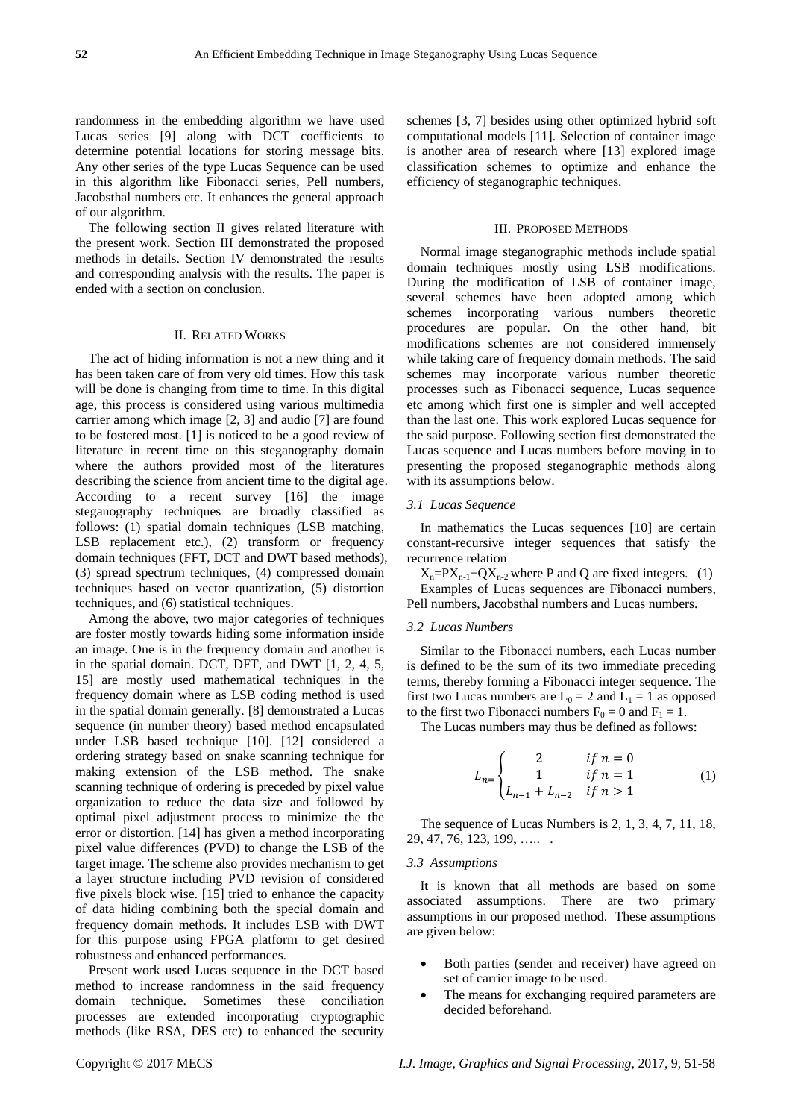randomness in the embedding algorithm we have used Lucas series [9] along with DCT coefficients to determine potential locations for storing message bits. Any other series of the type Lucas Sequence can be used in this algorithm like Fibonacci series, Pell numbers, Jacobsthal numbers etc. It enhances the general approach of our algorithm.

The following section II gives related literature with the present work. Section III demonstrated the proposed methods in details. Section IV demonstrated the results and corresponding analysis with the results. The paper is ended with a section on conclusion.

#### II. RELATED WORKS

The act of hiding information is not a new thing and it has been taken care of from very old times. How this task will be done is changing from time to time. In this digital age, this process is considered using various multimedia carrier among which image [2, 3] and audio [7] are found to be fostered most. [1] is noticed to be a good review of literature in recent time on this steganography domain where the authors provided most of the literatures describing the science from ancient time to the digital age. According to a recent survey [16] the image steganography techniques are broadly classified as follows: (1) spatial domain techniques (LSB matching, LSB replacement etc.), (2) transform or frequency domain techniques (FFT, DCT and DWT based methods), (3) spread spectrum techniques, (4) compressed domain techniques based on vector quantization, (5) distortion techniques, and (6) statistical techniques.

Among the above, two major categories of techniques are foster mostly towards hiding some information inside an image. One is in the frequency domain and another is in the spatial domain. DCT, DFT, and DWT [1, 2, 4, 5, 15] are mostly used mathematical techniques in the frequency domain where as LSB coding method is used in the spatial domain generally. [8] demonstrated a Lucas sequence (in number theory) based method encapsulated under LSB based technique [10]. [12] considered a ordering strategy based on snake scanning technique for making extension of the LSB method. The snake scanning technique of ordering is preceded by pixel value organization to reduce the data size and followed by optimal pixel adjustment process to minimize the the error or distortion. [14] has given a method incorporating pixel value differences (PVD) to change the LSB of the target image. The scheme also provides mechanism to get a layer structure including PVD revision of considered five pixels block wise. [15] tried to enhance the capacity of data hiding combining both the special domain and frequency domain methods. It includes LSB with DWT for this purpose using FPGA platform to get desired robustness and enhanced performances.

Present work used Lucas sequence in the DCT based method to increase randomness in the said frequency domain technique. Sometimes these conciliation processes are extended incorporating cryptographic methods (like RSA, DES etc) to enhanced the security

schemes [3, 7] besides using other optimized hybrid soft computational models [11]. Selection of container image is another area of research where [13] explored image classification schemes to optimize and enhance the efficiency of steganographic techniques.

#### III. PROPOSED METHODS

Normal image steganographic methods include spatial domain techniques mostly using LSB modifications. During the modification of LSB of container image, several schemes have been adopted among which schemes incorporating various numbers theoretic procedures are popular. On the other hand, bit modifications schemes are not considered immensely while taking care of frequency domain methods. The said schemes may incorporate various number theoretic processes such as Fibonacci sequence, Lucas sequence etc among which first one is simpler and well accepted than the last one. This work explored Lucas sequence for the said purpose. Following section first demonstrated the Lucas sequence and Lucas numbers before moving in to presenting the proposed steganographic methods along with its assumptions below.

#### *3.1 Lucas Sequence*

In mathematics the Lucas sequences [10] are certain constant-recursive integer sequences that satisfy the recurrence relation

 $X_n = PX_{n-1} + QX_{n-2}$  where P and Q are fixed integers. (1) Examples of Lucas sequences are Fibonacci numbers, Pell numbers, Jacobsthal numbers and Lucas numbers.

#### *3.2 Lucas Numbers*

Similar to the Fibonacci numbers, each Lucas number is defined to be the sum of its two immediate preceding terms, thereby forming a Fibonacci integer sequence. The first two Lucas numbers are  $L_0 = 2$  and  $L_1 = 1$  as opposed to the first two Fibonacci numbers  $F_0 = 0$  and  $F_1 = 1$ .

The Lucas numbers may thus be defined as follows:

$$
L_{n} = \begin{cases} 2 & \text{if } n = 0 \\ 1 & \text{if } n = 1 \\ L_{n-1} + L_{n-2} & \text{if } n > 1 \end{cases}
$$
 (1)

The sequence of Lucas Numbers is 2, 1, 3, 4, 7, 11, 18, 29, 47, 76, 123, 199, ….. .

#### *3.3 Assumptions*

It is known that all methods are based on some associated assumptions. There are two primary assumptions in our proposed method. These assumptions are given below:

- Both parties (sender and receiver) have agreed on set of carrier image to be used.
- The means for exchanging required parameters are decided beforehand.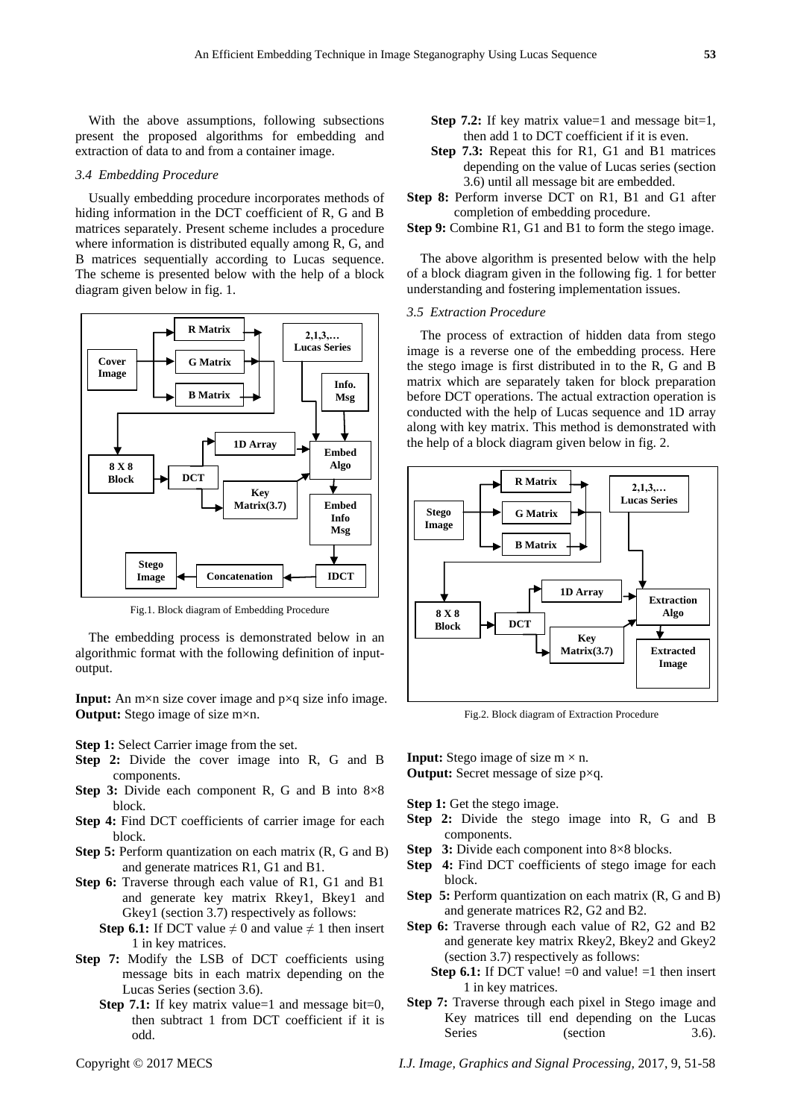With the above assumptions, following subsections present the proposed algorithms for embedding and extraction of data to and from a container image.

#### *3.4 Embedding Procedure*

Usually embedding procedure incorporates methods of hiding information in the DCT coefficient of R, G and B matrices separately. Present scheme includes a procedure where information is distributed equally among R, G, and B matrices sequentially according to Lucas sequence. The scheme is presented below with the help of a block diagram given below in fig. 1.



Fig.1. Block diagram of Embedding Procedure

The embedding process is demonstrated below in an algorithmic format with the following definition of inputoutput.

**Input:** An m×n size cover image and p×q size info image. **Output:** Stego image of size m×n.

#### **Step 1:** Select Carrier image from the set.

- **Step 2:** Divide the cover image into R, G and B components.
- **Step 3:** Divide each component R, G and B into 8×8 block.
- **Step 4:** Find DCT coefficients of carrier image for each block.
- **Step 5:** Perform quantization on each matrix (R, G and B) and generate matrices R1, G1 and B1.
- **Step 6:** Traverse through each value of R1, G1 and B1 and generate key matrix Rkey1, Bkey1 and Gkey1 (section 3.7) respectively as follows:
	- **Step 6.1:** If DCT value  $\neq 0$  and value  $\neq 1$  then insert 1 in key matrices.
- **Step 7:** Modify the LSB of DCT coefficients using message bits in each matrix depending on the Lucas Series (section 3.6).
	- **Step 7.1:** If key matrix value=1 and message bit=0, then subtract 1 from DCT coefficient if it is odd.
- **Step 7.3:** Repeat this for R1, G1 and B1 matrices depending on the value of Lucas series (section 3.6) until all message bit are embedded.
- **Step 8:** Perform inverse DCT on R1, B1 and G1 after completion of embedding procedure.
- **Step 9:** Combine R1, G1 and B1 to form the stego image.

The above algorithm is presented below with the help of a block diagram given in the following fig. 1 for better understanding and fostering implementation issues.

### *3.5 Extraction Procedure*

The process of extraction of hidden data from stego image is a reverse one of the embedding process. Here the stego image is first distributed in to the R, G and B matrix which are separately taken for block preparation before DCT operations. The actual extraction operation is conducted with the help of Lucas sequence and 1D array along with key matrix. This method is demonstrated with the help of a block diagram given below in fig. 2.



Fig.2. Block diagram of Extraction Procedure

**Input:** Stego image of size  $m \times n$ .

**Output:** Secret message of size p×q.

- **Step 1:** Get the stego image.
- **Step 2:** Divide the stego image into R, G and B components.
- **Step 3:** Divide each component into 8×8 blocks.
- **Step 4:** Find DCT coefficients of stego image for each block.
- **Step 5:** Perform quantization on each matrix  $(R, G \text{ and } B)$ and generate matrices R2, G2 and B2.
- **Step 6:** Traverse through each value of R2, G2 and B2 and generate key matrix Rkey2, Bkey2 and Gkey2 (section 3.7) respectively as follows:
	- **Step 6.1:** If DCT value!  $=0$  and value!  $=1$  then insert 1 in key matrices.
- **Step 7:** Traverse through each pixel in Stego image and Key matrices till end depending on the Lucas Series (section 3.6).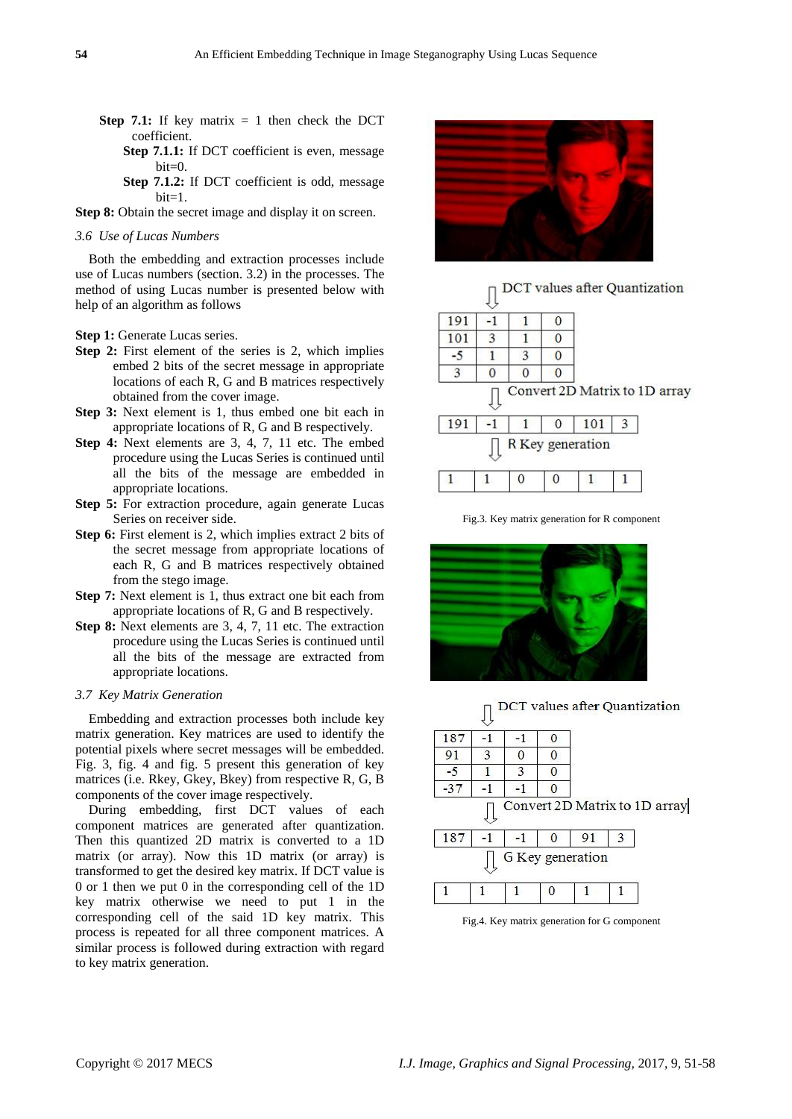- **Step 7.1:** If key matrix  $= 1$  then check the DCT coefficient.
	- **Step 7.1.1:** If DCT coefficient is even, message bit=0.
	- **Step 7.1.2:** If DCT coefficient is odd, message bit=1.

**Step 8:** Obtain the secret image and display it on screen.

### *3.6 Use of Lucas Numbers*

Both the embedding and extraction processes include use of Lucas numbers (section. 3.2) in the processes. The method of using Lucas number is presented below with help of an algorithm as follows

**Step 1:** Generate Lucas series.

- **Step 2:** First element of the series is 2, which implies embed 2 bits of the secret message in appropriate locations of each R, G and B matrices respectively obtained from the cover image.
- **Step 3:** Next element is 1, thus embed one bit each in appropriate locations of R, G and B respectively.
- **Step 4:** Next elements are 3, 4, 7, 11 etc. The embed procedure using the Lucas Series is continued until all the bits of the message are embedded in appropriate locations.
- **Step 5:** For extraction procedure, again generate Lucas Series on receiver side.
- **Step 6:** First element is 2, which implies extract 2 bits of the secret message from appropriate locations of each R, G and B matrices respectively obtained from the stego image.
- **Step 7:** Next element is 1, thus extract one bit each from appropriate locations of R, G and B respectively.
- **Step 8:** Next elements are 3, 4, 7, 11 etc. The extraction procedure using the Lucas Series is continued until all the bits of the message are extracted from appropriate locations.

# *3.7 Key Matrix Generation*

Embedding and extraction processes both include key matrix generation. Key matrices are used to identify the potential pixels where secret messages will be embedded. Fig. 3, fig. 4 and fig. 5 present this generation of key matrices (i.e. Rkey, Gkey, Bkey) from respective R, G, B components of the cover image respectively.

During embedding, first DCT values of each component matrices are generated after quantization. Then this quantized 2D matrix is converted to a 1D matrix (or array). Now this 1D matrix (or array) is transformed to get the desired key matrix. If DCT value is 0 or 1 then we put 0 in the corresponding cell of the 1D key matrix otherwise we need to put 1 in the corresponding cell of the said 1D key matrix. This process is repeated for all three component matrices. A similar process is followed during extraction with regard to key matrix generation.





Fig.3. Key matrix generation for R component

 $\mathbf{0}$ 

1

 $\mathbf{1}$ 



 $\overline{1}$ 

 $\mathbf{1}$ 

 $\Omega$ 

 $\Box$  DCT values after Quantization

|                                    |                  |   |    | 187   |
|------------------------------------|------------------|---|----|-------|
|                                    |                  |   | 3  | 91    |
|                                    |                  | 3 |    | $-5$  |
|                                    |                  |   |    | $-37$ |
|                                    |                  |   |    |       |
| Convert 2D Matrix to 1D array<br>3 | 91               |   | -1 | 187   |
|                                    | G Key generation |   |    |       |

Fig.4. Key matrix generation for G component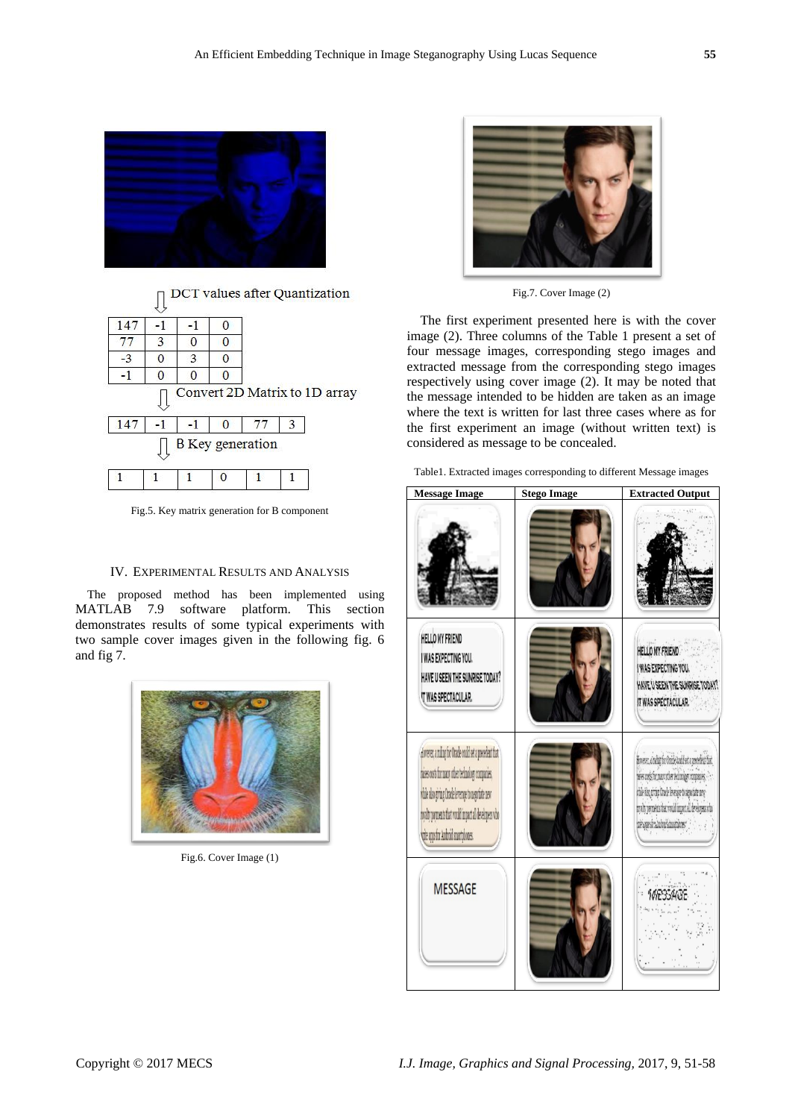



|  |  | <b>B</b> Key generation |  |
|--|--|-------------------------|--|

Fig.5. Key matrix generation for B component

### IV. EXPERIMENTAL RESULTS AND ANALYSIS

The proposed method has been implemented using MATLAB 7.9 software platform. This section demonstrates results of some typical experiments with two sample cover images given in the following fig. 6 and fig 7.



Fig.6. Cover Image (1)



Fig.7. Cover Image (2)

The first experiment presented here is with the cover image (2). Three columns of the Table 1 present a set of four message images, corresponding stego images and extracted message from the corresponding stego images respectively using cover image (2). It may be noted that the message intended to be hidden are taken as an image where the text is written for last three cases where as for the first experiment an image (without written text) is considered as message to be concealed.

| Table1. Extracted images corresponding to different Message images |  |  |  |  |  |  |
|--------------------------------------------------------------------|--|--|--|--|--|--|
|--------------------------------------------------------------------|--|--|--|--|--|--|

| <b>Message Image</b>                                                                                                                                                                                                                                             | <b>Stego Image</b> | <b>Extracted Output</b>                                                                                                                                                                                                                          |
|------------------------------------------------------------------------------------------------------------------------------------------------------------------------------------------------------------------------------------------------------------------|--------------------|--------------------------------------------------------------------------------------------------------------------------------------------------------------------------------------------------------------------------------------------------|
|                                                                                                                                                                                                                                                                  |                    |                                                                                                                                                                                                                                                  |
| HELLO MY FRIEND<br>I WAS EXPECTING YOU.<br>HAVE U SEEN THE SUNRISE TODAY?<br><b>T WAS SPECTACULAR.</b>                                                                                                                                                           |                    | HELLO MY FRIEND<br>I WAS EXPECTING YOU.<br>HAVE U SEEN THE SUNRISE TODAY!<br>IT WAS SPECTACULAR.                                                                                                                                                 |
| dowever, a ruling for Oracle could set a precedent that<br>raises costs for many other technology companies,<br>while also giving Oracle leverage to negotiate new<br>povalty payments that would impact all developers who<br>whe apps for Android smartphones. |                    | Knese, centurfur Onife built et a preselect fut<br>wies nets for man other technology companies.<br>while klos pixing Cracle leverage to algostiate new-<br>crally payments that would impact all developers who<br>nivaposit aluteri kimpleres" |
| <b>MESSAGE</b>                                                                                                                                                                                                                                                   |                    |                                                                                                                                                                                                                                                  |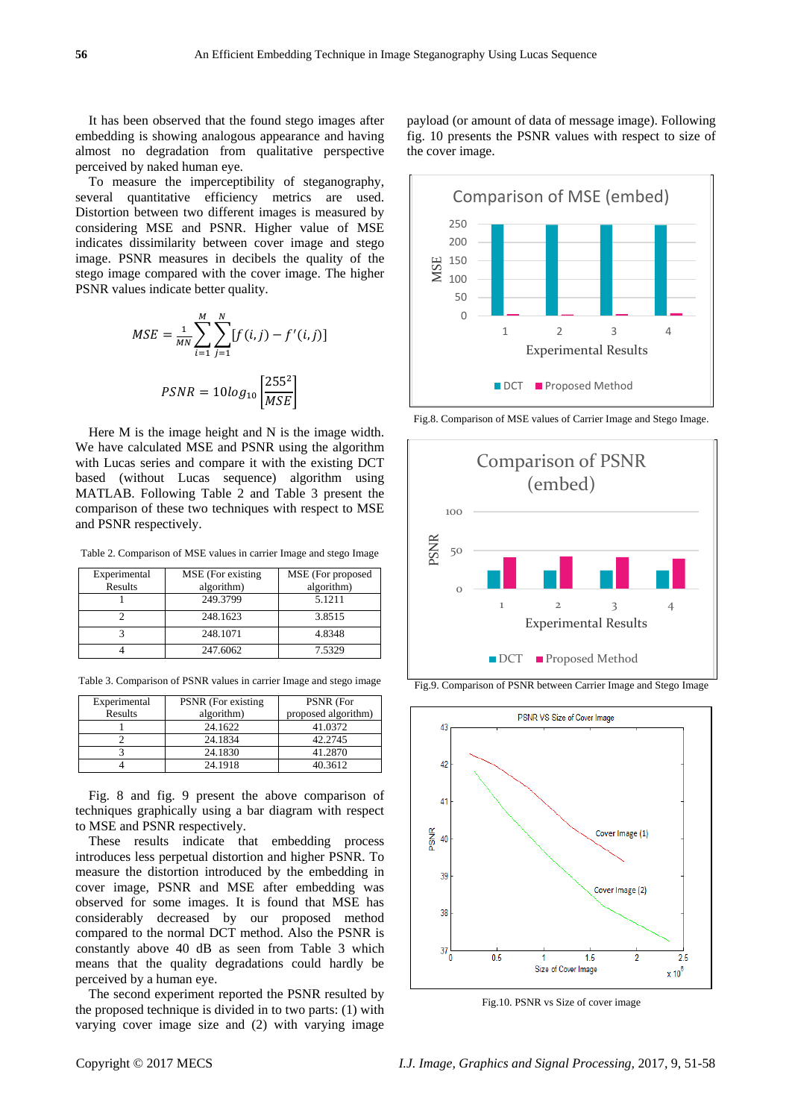It has been observed that the found stego images after embedding is showing analogous appearance and having almost no degradation from qualitative perspective perceived by naked human eye.

To measure the imperceptibility of steganography, several quantitative efficiency metrics are used. Distortion between two different images is measured by considering MSE and PSNR. Higher value of MSE indicates dissimilarity between cover image and stego image. PSNR measures in decibels the quality of the stego image compared with the cover image. The higher PSNR values indicate better quality.

$$
MSE = \frac{1}{MN} \sum_{i=1}^{M} \sum_{j=1}^{N} [f(i,j) - f'(i,j)]
$$

$$
PSNR = 10log_{10} \left[ \frac{255^2}{MSE} \right]
$$

Here M is the image height and N is the image width. We have calculated MSE and PSNR using the algorithm with Lucas series and compare it with the existing DCT based (without Lucas sequence) algorithm using MATLAB. Following Table 2 and Table 3 present the comparison of these two techniques with respect to MSE and PSNR respectively.

Table 2. Comparison of MSE values in carrier Image and stego Image

| Experimental<br>Results | MSE (For existing)<br>algorithm) | MSE (For proposed<br>algorithm) |
|-------------------------|----------------------------------|---------------------------------|
|                         | 249.3799                         | 5.1211                          |
|                         | 248.1623                         | 3.8515                          |
|                         | 248.1071                         | 4.8348                          |
|                         | 247.6062                         | 7.5329                          |

Table 3. Comparison of PSNR values in carrier Image and stego image

| Experimental | PSNR (For existing | PSNR (For           |
|--------------|--------------------|---------------------|
| Results      | algorithm)         | proposed algorithm) |
|              | 24.1622            | 41.0372             |
|              | 24.1834            | 42.2745             |
|              | 24.1830            | 41.2870             |
|              | 24.1918            | 40.3612             |

Fig. 8 and fig. 9 present the above comparison of techniques graphically using a bar diagram with respect to MSE and PSNR respectively.

These results indicate that embedding process introduces less perpetual distortion and higher PSNR. To measure the distortion introduced by the embedding in cover image, PSNR and MSE after embedding was observed for some images. It is found that MSE has considerably decreased by our proposed method compared to the normal DCT method. Also the PSNR is constantly above 40 dB as seen from Table 3 which means that the quality degradations could hardly be perceived by a human eye.

The second experiment reported the PSNR resulted by the proposed technique is divided in to two parts: (1) with varying cover image size and (2) with varying image

payload (or amount of data of message image). Following fig. 10 presents the PSNR values with respect to size of the cover image.



Fig.8. Comparison of MSE values of Carrier Image and Stego Image.



Fig.9. Comparison of PSNR between Carrier Image and Stego Image



Fig.10. PSNR vs Size of cover image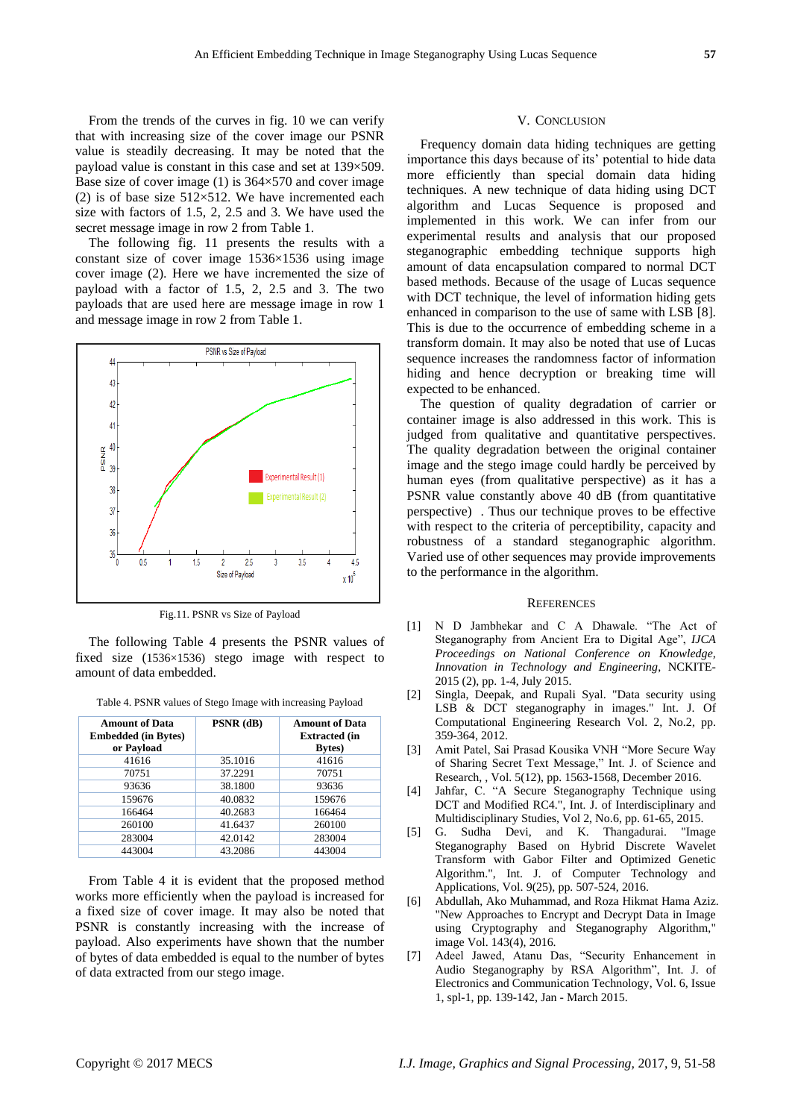From the trends of the curves in fig. 10 we can verify that with increasing size of the cover image our PSNR value is steadily decreasing. It may be noted that the payload value is constant in this case and set at 139×509. Base size of cover image (1) is  $364 \times 570$  and cover image (2) is of base size  $512 \times 512$ . We have incremented each size with factors of 1.5, 2, 2.5 and 3. We have used the secret message image in row 2 from Table 1.

The following fig. 11 presents the results with a constant size of cover image 1536×1536 using image cover image (2). Here we have incremented the size of payload with a factor of 1.5, 2, 2.5 and 3. The two payloads that are used here are message image in row 1 and message image in row 2 from Table 1.



Fig.11. PSNR vs Size of Payload

The following Table 4 presents the PSNR values of fixed size (1536×1536) stego image with respect to amount of data embedded.

| Table 4. PSNR values of Stego Image with increasing Payload |  |  |  |  |
|-------------------------------------------------------------|--|--|--|--|
|-------------------------------------------------------------|--|--|--|--|

| <b>Amount of Data</b><br><b>Embedded (in Bytes)</b><br>or Payload | $PSNR$ (dB) | <b>Amount of Data</b><br><b>Extracted (in</b><br><b>Bytes</b> ) |
|-------------------------------------------------------------------|-------------|-----------------------------------------------------------------|
| 41616                                                             | 35.1016     | 41616                                                           |
| 70751                                                             | 37.2291     | 70751                                                           |
| 93636                                                             | 38.1800     | 93636                                                           |
| 159676                                                            | 40.0832     | 159676                                                          |
| 166464                                                            | 40.2683     | 166464                                                          |
| 260100                                                            | 41.6437     | 260100                                                          |
| 283004                                                            | 42.0142     | 283004                                                          |
| 443004                                                            | 43.2086     | 443004                                                          |

From Table 4 it is evident that the proposed method works more efficiently when the payload is increased for a fixed size of cover image. It may also be noted that PSNR is constantly increasing with the increase of payload. Also experiments have shown that the number of bytes of data embedded is equal to the number of bytes of data extracted from our stego image.

#### V. CONCLUSION

Frequency domain data hiding techniques are getting importance this days because of its' potential to hide data more efficiently than special domain data hiding techniques. A new technique of data hiding using DCT algorithm and Lucas Sequence is proposed and implemented in this work. We can infer from our experimental results and analysis that our proposed steganographic embedding technique supports high amount of data encapsulation compared to normal DCT based methods. Because of the usage of Lucas sequence with DCT technique, the level of information hiding gets enhanced in comparison to the use of same with LSB [8]. This is due to the occurrence of embedding scheme in a transform domain. It may also be noted that use of Lucas sequence increases the randomness factor of information hiding and hence decryption or breaking time will expected to be enhanced.

The question of quality degradation of carrier or container image is also addressed in this work. This is judged from qualitative and quantitative perspectives. The quality degradation between the original container image and the stego image could hardly be perceived by human eyes (from qualitative perspective) as it has a PSNR value constantly above 40 dB (from quantitative perspective) . Thus our technique proves to be effective with respect to the criteria of perceptibility, capacity and robustness of a standard steganographic algorithm. Varied use of other sequences may provide improvements to the performance in the algorithm.

#### **REFERENCES**

- [1] N D Jambhekar and C A Dhawale. "The Act of Steganography from Ancient Era to Digital Age", *IJCA Proceedings on National Conference on Knowledge, Innovation in Technology and Engineering*, NCKITE-2015 (2), pp. 1-4, July 2015.
- [2] Singla, Deepak, and Rupali Syal. "Data security using LSB & DCT steganography in images." Int. J. Of Computational Engineering Research Vol. 2, No.2, pp. 359-364, 2012.
- [3] Amit Patel, Sai Prasad Kousika VNH "More Secure Way of Sharing Secret Text Message," Int. J. of Science and Research, , Vol. 5(12), pp. 1563-1568, December 2016.
- [4] Jahfar, C. "A Secure Steganography Technique using DCT and Modified RC4.", Int. J. of Interdisciplinary and Multidisciplinary Studies, Vol 2, No.6, pp. 61-65, 2015.
- [5] G. Sudha Devi, and K. Thangadurai. "Image Steganography Based on Hybrid Discrete Wavelet Transform with Gabor Filter and Optimized Genetic Algorithm.", Int. J. of Computer Technology and Applications, Vol. 9(25), pp. 507-524, 2016.
- [6] Abdullah, Ako Muhammad, and Roza Hikmat Hama Aziz. "New Approaches to Encrypt and Decrypt Data in Image using Cryptography and Steganography Algorithm," image Vol. 143(4), 2016.
- [7] Adeel Jawed, Atanu Das, "Security Enhancement in Audio Steganography by RSA Algorithm", Int. J. of Electronics and Communication Technology, Vol. 6, Issue 1, spl-1, pp. 139-142, Jan - March 2015.